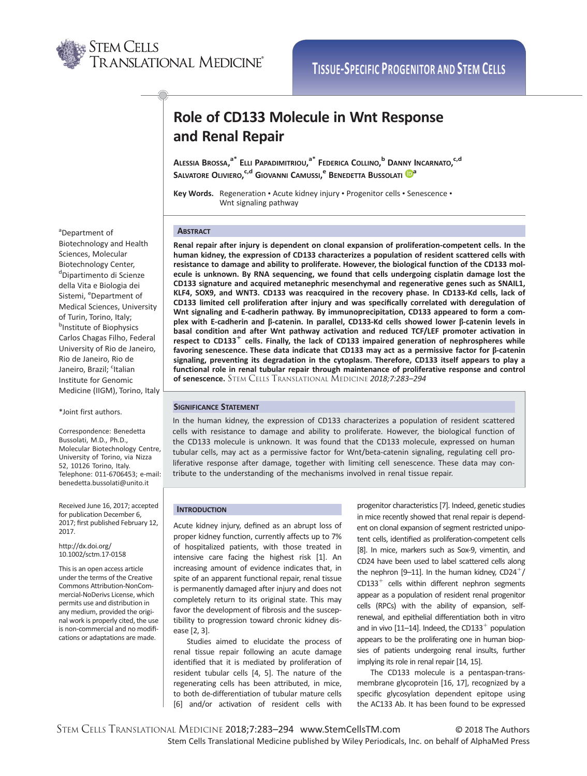

# Role of CD133 Molecule in Wnt Response and Renal Repair

Alessia Brossa,<sup>a\*</sup> Elli Papadimitriou,<sup>a\*</sup> Federica Collino,<sup>b</sup> Danny Incarnato,<sup>c,d</sup> S[a](http://orcid.org/0000-0002-3663-5134)lvatore Oliviero,<sup>c,d</sup> Giovanni Camussi,<sup>e</sup> Benedetta Bussolati <mark>(D</mark>ª

Key Words. Regeneration · Acute kidney injury · Progenitor cells · Senescence · Wnt signaling pathway

# **ABSTRACT**

Renal repair after injury is dependent on clonal expansion of proliferation-competent cells. In the human kidney, the expression of CD133 characterizes a population of resident scattered cells with resistance to damage and ability to proliferate. However, the biological function of the CD133 molecule is unknown. By RNA sequencing, we found that cells undergoing cisplatin damage lost the CD133 signature and acquired metanephric mesenchymal and regenerative genes such as SNAIL1, KLF4, SOX9, and WNT3. CD133 was reacquired in the recovery phase. In CD133-Kd cells, lack of CD133 limited cell proliferation after injury and was specifically correlated with deregulation of Wnt signaling and E-cadherin pathway. By immunoprecipitation, CD133 appeared to form a complex with E-cadherin and  $\beta$ -catenin. In parallel, CD133-Kd cells showed lower  $\beta$ -catenin levels in basal condition and after Wnt pathway activation and reduced TCF/LEF promoter activation in respect to CD133<sup>+</sup> cells. Finally, the lack of CD133 impaired generation of nephrospheres while favoring senescence. These data indicate that CD133 may act as a permissive factor for  $\beta$ -catenin signaling, preventing its degradation in the cytoplasm. Therefore, CD133 itself appears to play a functional role in renal tubular repair through maintenance of proliferative response and control of senescence. STEM CELLS TRANSLATIONAL MEDICINE 2018;7:283-294

# SIGNIFICANCE STATEMENT

In the human kidney, the expression of CD133 characterizes a population of resident scattered cells with resistance to damage and ability to proliferate. However, the biological function of the CD133 molecule is unknown. It was found that the CD133 molecule, expressed on human tubular cells, may act as a permissive factor for Wnt/beta-catenin signaling, regulating cell proliferative response after damage, together with limiting cell senescence. These data may contribute to the understanding of the mechanisms involved in renal tissue repair.

# **INTRODUCTION**

Acute kidney injury, defined as an abrupt loss of proper kidney function, currently affects up to 7% of hospitalized patients, with those treated in intensive care facing the highest risk [1]. An increasing amount of evidence indicates that, in spite of an apparent functional repair, renal tissue is permanently damaged after injury and does not completely return to its original state. This may favor the development of fibrosis and the susceptibility to progression toward chronic kidney disease [2, 3].

Studies aimed to elucidate the process of renal tissue repair following an acute damage identified that it is mediated by proliferation of resident tubular cells [4, 5]. The nature of the regenerating cells has been attributed, in mice, to both de-differentiation of tubular mature cells [6] and/or activation of resident cells with

progenitor characteristics [7]. Indeed, genetic studies in mice recently showed that renal repair is dependent on clonal expansion of segment restricted unipotent cells, identified as proliferation-competent cells [8]. In mice, markers such as Sox-9, vimentin, and CD24 have been used to label scattered cells along the nephron [9–11]. In the human kidney,  $CD24<sup>+</sup>/$  $CD133<sup>+</sup>$  cells within different nephron segments appear as a population of resident renal progenitor cells (RPCs) with the ability of expansion, selfrenewal, and epithelial differentiation both in vitro and in vivo [11–14]. Indeed, the CD133<sup>+</sup> population appears to be the proliferating one in human biopsies of patients undergoing renal insults, further implying its role in renal repair [14, 15].

The CD133 molecule is a pentaspan-transmembrane glycoprotein [16, 17], recognized by a specific glycosylation dependent epitope using the AC133 Ab. It has been found to be expressed

<sup>a</sup>Department of Biotechnology and Health Sciences, Molecular Biotechnology Center, d<br>
<sup>d</sup>Dipartimento di Scienze della Vita e Biologia dei Sistemi, <sup>e</sup>Department of Medical Sciences, University of Turin, Torino, Italy; **b**Institute of Biophysics Carlos Chagas Filho, Federal University of Rio de Janeiro, Rio de Janeiro, Rio de Janeiro, Brazil; <sup>c</sup>Italian Institute for Genomic Medicine (IIGM), Torino, Italy

\*Joint first authors.

Correspondence: Benedetta Bussolati, M.D., Ph.D., Molecular Biotechnology Centre, University of Torino, via Nizza 52, 10126 Torino, Italy. Telephone: 011-6706453; e-mail: benedetta.bussolati@unito.it

Received June 16, 2017; accepted for publication December 6, 2017; first published February 12, 2017.

http://dx.doi.org/ 10.1002/sctm.17-0158

This is an open access article under the terms of the [Creative](http://creativecommons.org/licenses/by-nc-nd/4.0/) [Commons Attribution-NonCom](http://creativecommons.org/licenses/by-nc-nd/4.0/)[mercial-NoDerivs](http://creativecommons.org/licenses/by-nc-nd/4.0/) License, which permits use and distribution in any medium, provided the original work is properly cited, the use is non-commercial and no modifications or adaptations are made.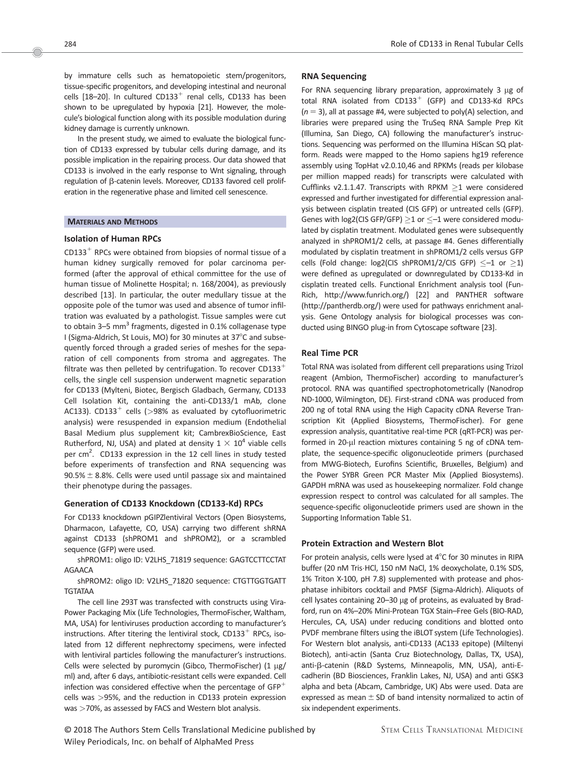by immature cells such as hematopoietic stem/progenitors, tissue-specific progenitors, and developing intestinal and neuronal cells [18-20]. In cultured CD133<sup>+</sup> renal cells, CD133 has been shown to be upregulated by hypoxia [21]. However, the molecule's biological function along with its possible modulation during kidney damage is currently unknown.

In the present study, we aimed to evaluate the biological function of CD133 expressed by tubular cells during damage, and its possible implication in the repairing process. Our data showed that CD133 is involved in the early response to Wnt signaling, through regulation of  $\beta$ -catenin levels. Moreover, CD133 favored cell proliferation in the regenerative phase and limited cell senescence.

#### MATERIALS AND METHODS

# Isolation of Human RPCs

 $CD133<sup>+</sup>$  RPCs were obtained from biopsies of normal tissue of a human kidney surgically removed for polar carcinoma performed (after the approval of ethical committee for the use of human tissue of Molinette Hospital; n. 168/2004), as previously described [13]. In particular, the outer medullary tissue at the opposite pole of the tumor was used and absence of tumor infiltration was evaluated by a pathologist. Tissue samples were cut to obtain 3–5 mm<sup>3</sup> fragments, digested in 0.1% collagenase type I (Sigma-Aldrich, St Louis, MO) for 30 minutes at 37°C and subsequently forced through a graded series of meshes for the separation of cell components from stroma and aggregates. The filtrate was then pelleted by centrifugation. To recover CD133 $^{\mathrm{+}}$ cells, the single cell suspension underwent magnetic separation for CD133 (Mylteni, Biotec, Bergisch Gladbach, Germany, CD133 Cell Isolation Kit, containing the anti-CD133/1 mAb, clone AC133). CD133<sup>+</sup> cells ( $>98\%$  as evaluated by cytofluorimetric analysis) were resuspended in expansion medium (Endothelial Basal Medium plus supplement kit; CambrexBioScience, East Rutherford, NJ, USA) and plated at density  $1 \times 10^4$  viable cells per cm<sup>2</sup>. CD133 expression in the 12 cell lines in study tested before experiments of transfection and RNA sequencing was  $90.5% \pm 8.8%$ . Cells were used until passage six and maintained their phenotype during the passages.

## Generation of CD133 Knockdown (CD133-Kd) RPCs

For CD133 knockdown pGIPZlentiviral Vectors (Open Biosystems, Dharmacon, Lafayette, CO, USA) carrying two different shRNA against CD133 (shPROM1 and shPROM2), or a scrambled sequence (GFP) were used.

shPROM1: oligo ID: V2LHS\_71819 sequence: GAGTCCTTCCTAT AGAACA

shPROM2: oligo ID: V2LHS\_71820 sequence: CTGTTGGTGATT TGTATAA

The cell line 293T was transfected with constructs using Vira-Power Packaging Mix (Life Technologies, ThermoFischer, Waltham, MA, USA) for lentiviruses production according to manufacturer's instructions. After titering the lentiviral stock,  $CD133<sup>+</sup>$  RPCs, isolated from 12 different nephrectomy specimens, were infected with lentiviral particles following the manufacturer's instructions. Cells were selected by puromycin (Gibco, ThermoFischer)  $(1 \mu g)$ ml) and, after 6 days, antibiotic-resistant cells were expanded. Cell infection was considered effective when the percentage of GFP $^\mathrm{+}$ cells was >95%, and the reduction in CD133 protein expression was >70%, as assessed by FACS and Western blot analysis.

# RNA Sequencing

For RNA sequencing library preparation, approximately  $3 \mu g$  of total RNA isolated from  $CD133<sup>+</sup>$  (GFP) and CD133-Kd RPCs  $(n = 3)$ , all at passage #4, were subjected to poly(A) selection, and libraries were prepared using the TruSeq RNA Sample Prep Kit (Illumina, San Diego, CA) following the manufacturer's instructions. Sequencing was performed on the Illumina HiScan SQ platform. Reads were mapped to the Homo sapiens hg19 reference assembly using TopHat v2.0.10,46 and RPKMs (reads per kilobase per million mapped reads) for transcripts were calculated with Cufflinks v2.1.1.47. Transcripts with RPKM  $\geq$ 1 were considered expressed and further investigated for differential expression analysis between cisplatin treated (CIS GFP) or untreated cells (GFP). Genes with log2(CIS GFP/GFP)  $\geq$ 1 or  $\leq$ –1 were considered modulated by cisplatin treatment. Modulated genes were subsequently analyzed in shPROM1/2 cells, at passage #4. Genes differentially modulated by cisplatin treatment in shPROM1/2 cells versus GFP cells (Fold change: log2(CIS shPROM1/2/CIS GFP)  $\leq$  -1 or  $\geq$ 1) were defined as upregulated or downregulated by CD133-Kd in cisplatin treated cells. Functional Enrichment analysis tool (Fun-Rich,<http://www.funrich.org>/) [22] and PANTHER software [\(http://pantherdb.org](http://pantherdb.org)/) were used for pathways enrichment analysis. Gene Ontology analysis for biological processes was conducted using BINGO plug-in from Cytoscape software [23].

# Real Time PCR

Total RNA was isolated from different cell preparations using Trizol reagent (Ambion, ThermoFischer) according to manufacturer's protocol. RNA was quantified spectrophotometrically (Nanodrop ND-1000, Wilmington, DE). First-strand cDNA was produced from 200 ng of total RNA using the High Capacity cDNA Reverse Transcription Kit (Applied Biosystems, ThermoFischer). For gene expression analysis, quantitative real-time PCR (qRT-PCR) was performed in 20-µl reaction mixtures containing 5 ng of cDNA template, the sequence-specific oligonucleotide primers (purchased from MWG-Biotech, Eurofins Scientific, Bruxelles, Belgium) and the Power SYBR Green PCR Master Mix (Applied Biosystems). GAPDH mRNA was used as housekeeping normalizer. Fold change expression respect to control was calculated for all samples. The sequence-specific oligonucleotide primers used are shown in the Supporting Information Table S1.

# Protein Extraction and Western Blot

For protein analysis, cells were lysed at  $4^{\circ}$ C for 30 minutes in RIPA buffer (20 nM Tris·HCl, 150 nM NaCl, 1% deoxycholate, 0.1% SDS, 1% Triton X-100, pH 7.8) supplemented with protease and phosphatase inhibitors cocktail and PMSF (Sigma-Aldrich). Aliquots of cell lysates containing 20–30 µg of proteins, as evaluated by Bradford, run on 4%–20% Mini-Protean TGX Stain–Free Gels (BIO-RAD, Hercules, CA, USA) under reducing conditions and blotted onto PVDF membrane filters using the iBLOT system (Life Technologies). For Western blot analysis, anti-CD133 (AC133 epitope) (Miltenyi Biotech), anti-actin (Santa Cruz Biotechnology, Dallas, TX, USA), anti-ß-catenin (R&D Systems, Minneapolis, MN, USA), anti-Ecadherin (BD Biosciences, Franklin Lakes, NJ, USA) and anti GSK3 alpha and beta (Abcam, Cambridge, UK) Abs were used. Data are expressed as mean  $\pm$  SD of band intensity normalized to actin of six independent experiments.

© 2018 The Authors Stem Cells Translational Medicine published by Wiley Periodicals, Inc. on behalf of AlphaMed Press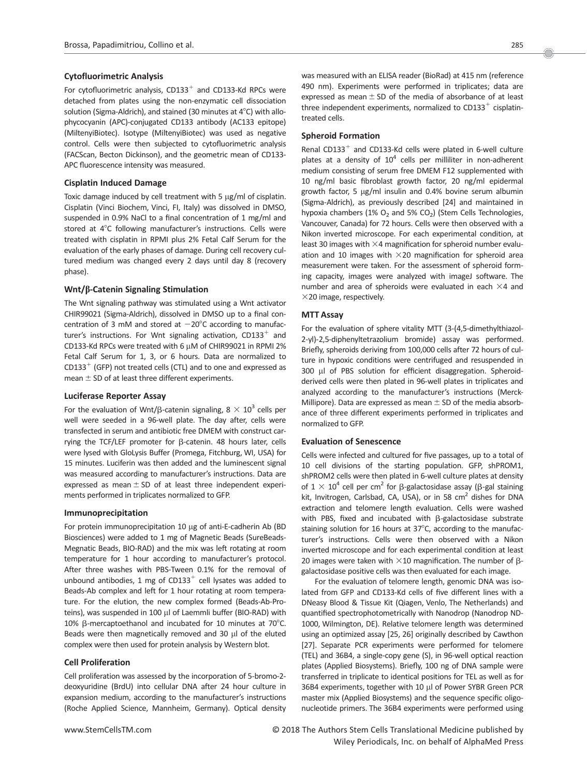# Cytofluorimetric Analysis

For cytofluorimetric analysis,  $CD133^+$  and CD133-Kd RPCs were detached from plates using the non-enzymatic cell dissociation solution (Sigma-Aldrich), and stained (30 minutes at  $4^{\circ}$ C) with allophycocyanin (APC)-conjugated CD133 antibody (AC133 epitope) (MiltenyiBiotec). Isotype (MiltenyiBiotec) was used as negative control. Cells were then subjected to cytofluorimetric analysis (FACScan, Becton Dickinson), and the geometric mean of CD133- APC fluorescence intensity was measured.

# Cisplatin Induced Damage

Toxic damage induced by cell treatment with 5  $\mu$ g/ml of cisplatin. Cisplatin (Vinci Biochem, Vinci, FI, Italy) was dissolved in DMSO, suspended in 0.9% NaCl to a final concentration of 1 mg/ml and stored at 4°C following manufacturer's instructions. Cells were treated with cisplatin in RPMI plus 2% Fetal Calf Serum for the evaluation of the early phases of damage. During cell recovery cultured medium was changed every 2 days until day 8 (recovery phase).

# Wnt/ $\beta$ -Catenin Signaling Stimulation

The Wnt signaling pathway was stimulated using a Wnt activator CHIR99021 (Sigma-Aldrich), dissolved in DMSO up to a final concentration of 3 mM and stored at  $-20^{\circ}$ C according to manufacturer's instructions. For Wnt signaling activation,  $CD133^+$  and CD133-Kd RPCs were treated with 6  $\mu$ M of CHIR99021 in RPMI 2% Fetal Calf Serum for 1, 3, or 6 hours. Data are normalized to  $CD133<sup>+</sup>$  (GFP) not treated cells (CTL) and to one and expressed as mean  $\pm$  SD of at least three different experiments.

## Luciferase Reporter Assay

For the evaluation of Wnt/ $\beta$ -catenin signaling, 8  $\times$  10<sup>3</sup> cells per well were seeded in a 96-well plate. The day after, cells were transfected in serum and antibiotic free DMEM with construct carrying the TCF/LEF promoter for  $\beta$ -catenin. 48 hours later, cells were lysed with GloLysis Buffer (Promega, Fitchburg, WI, USA) for 15 minutes. Luciferin was then added and the luminescent signal was measured according to manufacturer's instructions. Data are expressed as mean  $\pm$  SD of at least three independent experiments performed in triplicates normalized to GFP.

# Immunoprecipitation

For protein immunoprecipitation 10 µg of anti-E-cadherin Ab (BD Biosciences) were added to 1 mg of Magnetic Beads (SureBeads-Megnatic Beads, BIO-RAD) and the mix was left rotating at room temperature for 1 hour according to manufacturer's protocol. After three washes with PBS-Tween 0.1% for the removal of unbound antibodies, 1 mg of CD133 $^+$  cell lysates was added to Beads-Ab complex and left for 1 hour rotating at room temperature. For the elution, the new complex formed (Beads-Ab-Proteins), was suspended in 100 µl of Laemmli buffer (BIO-RAD) with 10%  $\beta$ -mercaptoethanol and incubated for 10 minutes at 70°C. Beads were then magnetically removed and 30  $\mu$ l of the eluted complex were then used for protein analysis by Western blot.

# Cell Proliferation

Cell proliferation was assessed by the incorporation of 5-bromo-2 deoxyuridine (BrdU) into cellular DNA after 24 hour culture in expansion medium, according to the manufacturer's instructions (Roche Applied Science, Mannheim, Germany). Optical density

was measured with an ELISA reader (BioRad) at 415 nm (reference 490 nm). Experiments were performed in triplicates; data are expressed as mean  $\pm$  SD of the media of absorbance of at least three independent experiments, normalized to  $CD133<sup>+</sup>$  cisplatintreated cells.

# Spheroid Formation

Renal CD133<sup>+</sup> and CD133-Kd cells were plated in 6-well culture plates at a density of  $10^4$  cells per milliliter in non-adherent medium consisting of serum free DMEM F12 supplemented with 10 ng/ml basic fibroblast growth factor, 20 ng/ml epidermal growth factor, 5 µg/ml insulin and 0.4% bovine serum albumin (Sigma-Aldrich), as previously described [24] and maintained in hypoxia chambers (1%  $O_2$  and 5%  $CO_2$ ) (Stem Cells Technologies, Vancouver, Canada) for 72 hours. Cells were then observed with a Nikon inverted microscope. For each experimental condition, at least 30 images with  $\times$ 4 magnification for spheroid number evaluation and 10 images with  $\times$ 20 magnification for spheroid area measurement were taken. For the assessment of spheroid forming capacity, images were analyzed with imageJ software. The number and area of spheroids were evaluated in each  $\times$ 4 and  $\times$ 20 image, respectively.

# MTT Assay

For the evaluation of sphere vitality MTT (3-(4,5-dimethylthiazol-2-yl)-2,5-diphenyltetrazolium bromide) assay was performed. Briefly, spheroids deriving from 100,000 cells after 72 hours of culture in hypoxic conditions were centrifuged and resuspended in 300 µl of PBS solution for efficient disaggregation. Spheroidderived cells were then plated in 96-well plates in triplicates and analyzed according to the manufacturer's instructions (Merck-Millipore). Data are expressed as mean  $\pm$  SD of the media absorbance of three different experiments performed in triplicates and normalized to GFP.

## Evaluation of Senescence

Cells were infected and cultured for five passages, up to a total of 10 cell divisions of the starting population. GFP, shPROM1, shPROM2 cells were then plated in 6-well culture plates at density of  $1 \times 10^4$  cell per cm<sup>2</sup> for  $\beta$ -galactosidase assay ( $\beta$ -gal staining kit, Invitrogen, Carlsbad, CA, USA), or in 58  $cm<sup>2</sup>$  dishes for DNA extraction and telomere length evaluation. Cells were washed with PBS, fixed and incubated with  $\beta$ -galactosidase substrate staining solution for 16 hours at  $37^{\circ}$ C, according to the manufacturer's instructions. Cells were then observed with a Nikon inverted microscope and for each experimental condition at least 20 images were taken with  $\times$ 10 magnification. The number of  $\beta$ galactosidase positive cells was then evaluated for each image.

For the evaluation of telomere length, genomic DNA was isolated from GFP and CD133-Kd cells of five different lines with a DNeasy Blood & Tissue Kit (Qiagen, Venlo, The Netherlands) and quantified spectrophotometrically with Nanodrop (Nanodrop ND-1000, Wilmington, DE). Relative telomere length was determined using an optimized assay [25, 26] originally described by Cawthon [27]. Separate PCR experiments were performed for telomere (TEL) and 36B4, a single-copy gene (S), in 96-well optical reaction plates (Applied Biosystems). Briefly, 100 ng of DNA sample were transferred in triplicate to identical positions for TEL as well as for 36B4 experiments, together with 10  $\mu$ l of Power SYBR Green PCR master mix (Applied Biosystems) and the sequence specific oligonucleotide primers. The 36B4 experiments were performed using

www.StemCellsTM.com **COLOGITY COLOGITS** OCCUPS The Authors Stem Cells Translational Medicine published by Wiley Periodicals, Inc. on behalf of AlphaMed Press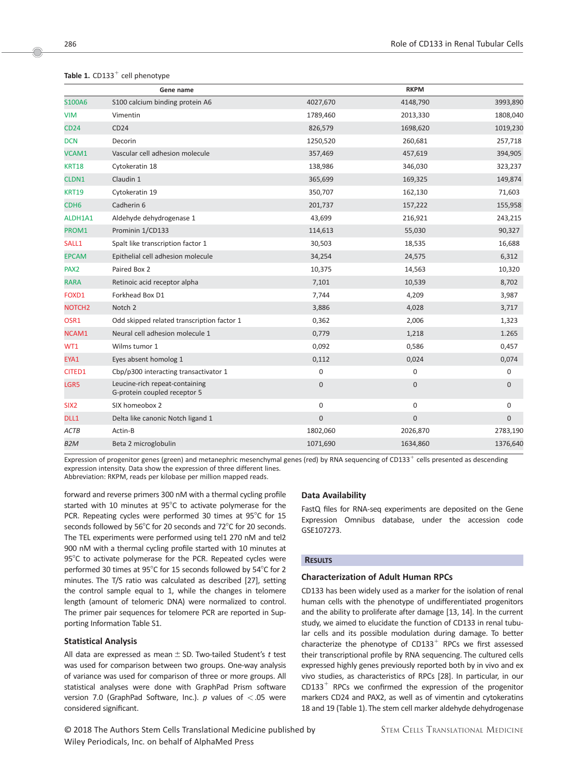| Gene name          |                                                                |              | <b>RKPM</b>    |                  |  |
|--------------------|----------------------------------------------------------------|--------------|----------------|------------------|--|
| S100A6             | S100 calcium binding protein A6                                | 4027,670     | 4148,790       | 3993,890         |  |
| <b>VIM</b>         | Vimentin                                                       | 1789,460     | 2013,330       | 1808,040         |  |
| <b>CD24</b>        | CD24                                                           | 826,579      | 1698,620       | 1019,230         |  |
| <b>DCN</b>         | Decorin                                                        | 1250,520     | 260,681        | 257,718          |  |
| VCAM1              | Vascular cell adhesion molecule                                | 357,469      | 457,619        | 394,905          |  |
| <b>KRT18</b>       | Cytokeratin 18                                                 | 138,986      | 346,030        | 323,237          |  |
| <b>CLDN1</b>       | Claudin 1                                                      | 365,699      | 169,325        | 149,874          |  |
| <b>KRT19</b>       | Cytokeratin 19                                                 | 350,707      | 162,130        | 71,603           |  |
| CDH <sub>6</sub>   | Cadherin 6                                                     | 201,737      | 157,222        | 155,958          |  |
| ALDH1A1            | Aldehyde dehydrogenase 1                                       | 43,699       | 216,921        | 243,215          |  |
| PROM1              | Prominin 1/CD133                                               | 114,613      | 55,030         | 90,327           |  |
| SALL1              | Spalt like transcription factor 1                              | 30,503       | 18,535         | 16,688           |  |
| <b>EPCAM</b>       | Epithelial cell adhesion molecule                              | 34,254       | 24,575         | 6,312            |  |
| PAX <sub>2</sub>   | Paired Box 2                                                   | 10,375       | 14,563         | 10,320           |  |
| <b>RARA</b>        | Retinoic acid receptor alpha                                   | 7,101        | 10,539         | 8,702            |  |
| FOXD1              | Forkhead Box D1                                                | 7,744        | 4,209          | 3,987            |  |
| NOTCH <sub>2</sub> | Notch 2                                                        | 3,886        | 4,028          | 3,717            |  |
| OSR1               | Odd skipped related transcription factor 1                     | 0,362        | 2,006          | 1,323            |  |
| NCAM1              | Neural cell adhesion molecule 1                                | 0,779        | 1,218          | 1.265            |  |
| WT1                | Wilms tumor 1                                                  | 0,092        | 0,586          | 0,457            |  |
| EYA1               | Eyes absent homolog 1                                          | 0,112        | 0,024          | 0,074            |  |
| CITED1             | Cbp/p300 interacting transactivator 1                          | 0            | 0              | 0                |  |
| LGR5               | Leucine-rich repeat-containing<br>G-protein coupled receptor 5 | $\mathbf 0$  | 0              | $\mathbf 0$      |  |
| SIX <sub>2</sub>   | SIX homeobox 2                                                 | 0            | 0              | 0                |  |
| DLL1               | Delta like canonic Notch ligand 1                              | $\mathbf{0}$ | $\overline{0}$ | $\boldsymbol{0}$ |  |
| ACTB               | Actin-B                                                        | 1802,060     | 2026,870       | 2783,190         |  |
| B <sub>2</sub> M   | Beta 2 microglobulin                                           | 1071,690     | 1634,860       | 1376,640         |  |
|                    |                                                                |              |                |                  |  |

# Table 1.  $CD133^+$  cell phenotype

Expression of progenitor genes (green) and metanephric mesenchymal genes (red) by RNA sequencing of CD133<sup>+</sup> cells presented as descending expression intensity. Data show the expression of three different lines. Abbreviation: RKPM, reads per kilobase per million mapped reads.

forward and reverse primers 300 nM with a thermal cycling profile started with 10 minutes at  $95^{\circ}$ C to activate polymerase for the PCR. Repeating cycles were performed 30 times at  $95^{\circ}$ C for 15 seconds followed by 56 $\degree$ C for 20 seconds and 72 $\degree$ C for 20 seconds. The TEL experiments were performed using tel1 270 nM and tel2 900 nM with a thermal cycling profile started with 10 minutes at  $95^{\circ}$ C to activate polymerase for the PCR. Repeated cycles were performed 30 times at 95 $^{\circ}$ C for 15 seconds followed by 54 $^{\circ}$ C for 2 minutes. The T/S ratio was calculated as described [27], setting the control sample equal to 1, while the changes in telomere length (amount of telomeric DNA) were normalized to control. The primer pair sequences for telomere PCR are reported in Supporting Information Table S1.

# Statistical Analysis

All data are expressed as mean  $\pm$  SD. Two-tailed Student's t test was used for comparison between two groups. One-way analysis of variance was used for comparison of three or more groups. All statistical analyses were done with GraphPad Prism software version 7.0 (GraphPad Software, Inc.).  $p$  values of  $<$  05 were considered significant.

# © 2018 The Authors Stem Cells Translational Medicine published by Wiley Periodicals, Inc. on behalf of AlphaMed Press

# Data Availability

FastQ files for RNA-seq experiments are deposited on the Gene Expression Omnibus database, under the accession code GSE107273.

# **RESULTS**

# Characterization of Adult Human RPCs

CD133 has been widely used as a marker for the isolation of renal human cells with the phenotype of undifferentiated progenitors and the ability to proliferate after damage [13, 14]. In the current study, we aimed to elucidate the function of CD133 in renal tubular cells and its possible modulation during damage. To better characterize the phenotype of  $CD133^+$  RPCs we first assessed their transcriptional profile by RNA sequencing. The cultured cells expressed highly genes previously reported both by in vivo and ex vivo studies, as characteristics of RPCs [28]. In particular, in our  $CD133<sup>+</sup>$  RPCs we confirmed the expression of the progenitor markers CD24 and PAX2, as well as of vimentin and cytokeratins 18 and 19 (Table 1). The stem cell marker aldehyde dehydrogenase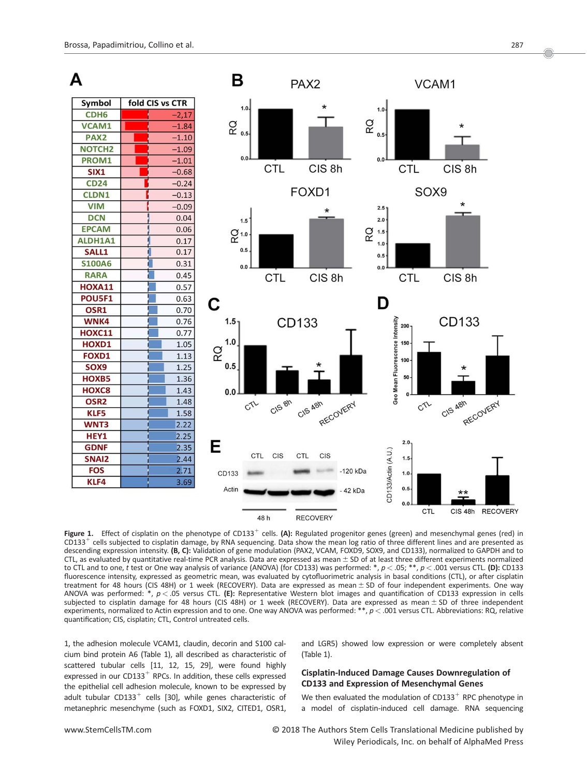

Figure 1. Effect of cisplatin on the phenotype of CD133<sup>+</sup> cells. (A): Regulated progenitor genes (green) and mesenchymal genes (red) in  $CD133<sup>+</sup>$  cells subjected to cisplatin damage, by RNA sequencing. Data show the mean log ratio of three different lines and are presented as descending expression intensity. (B, C): Validation of gene modulation (PAX2, VCAM, FOXD9, SOX9, and CD133), normalized to GAPDH and to CTL, as evaluated by quantitative real-time PCR analysis. Data are expressed as mean  $\pm$  SD of at least three different experiments normalized to CTL and to one, t test or One way analysis of variance (ANOVA) (for CD133) was performed:  $*, p < .05; **$ ,  $p < .001$  versus CTL. (D): CD133 fluorescence intensity, expressed as geometric mean, was evaluated by cytofluorimetric analysis in basal conditions (CTL), or after cisplatin treatment for 48 hours (CIS 48H) or 1 week (RECOVERY). Data are expressed as mean  $\pm$  SD of four independent experiments. One way ANOVA was performed:  $*, p < .05$  versus CTL. (E): Representative Western blot images and quantification of CD133 expression in cells subjected to cisplatin damage for 48 hours (CIS 48H) or 1 week (RECOVERY). Data are expressed as mean ± SD of three independent experiments, normalized to Actin expression and to one. One way ANOVA was performed:  $*, p < .001$  versus CTL. Abbreviations: RQ, relative quantification; CIS, cisplatin; CTL, Control untreated cells.

1, the adhesion molecule VCAM1, claudin, decorin and S100 calcium bind protein A6 (Table 1), all described as characteristic of scattered tubular cells [11, 12, 15, 29], were found highly expressed in our CD133<sup>+</sup> RPCs. In addition, these cells expressed the epithelial cell adhesion molecule, known to be expressed by adult tubular CD133<sup>+</sup> cells [30], while genes characteristic of metanephric mesenchyme (such as FOXD1, SIX2, CITED1, OSR1,

and LGR5) showed low expression or were completely absent (Table 1).

# Cisplatin-Induced Damage Causes Downregulation of CD133 and Expression of Mesenchymal Genes

We then evaluated the modulation of CD133<sup>+</sup> RPC phenotype in a model of cisplatin-induced cell damage. RNA sequencing

www.StemCellsTM.com **COLL COM** O 2018 The Authors Stem Cells Translational Medicine published by Wiley Periodicals, Inc. on behalf of AlphaMed Press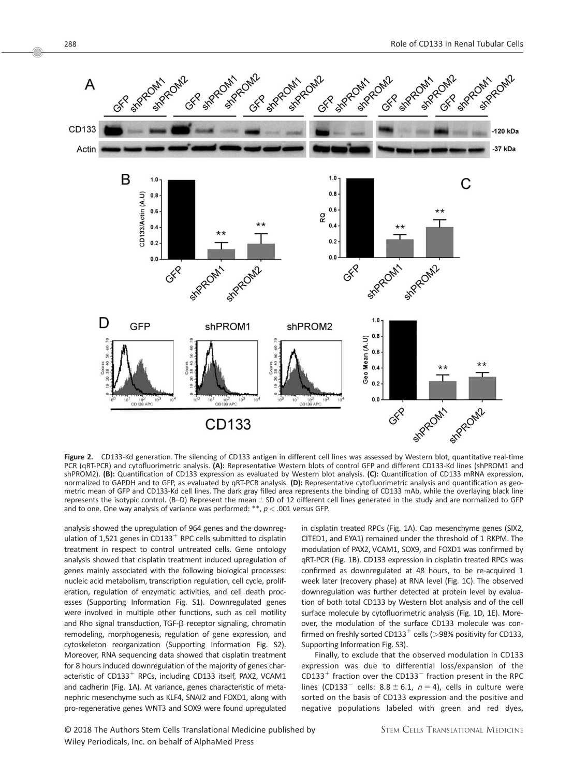

Figure 2. CD133-Kd generation. The silencing of CD133 antigen in different cell lines was assessed by Western blot, quantitative real-time PCR (qRT-PCR) and cytofluorimetric analysis. (A): Representative Western blots of control GFP and different CD133-Kd lines (shPROM1 and shPROM2). (B): Quantification of CD133 expression as evaluated by Western blot analysis. (C): Quantification of CD133 mRNA expression, normalized to GAPDH and to GFP, as evaluated by qRT-PCR analysis. (D): Representative cytofluorimetric analysis and quantification as geometric mean of GFP and CD133-Kd cell lines. The dark gray filled area represents the binding of CD133 mAb, while the overlaying black line represents the isotypic control. (B-D) Represent the mean  $\pm$  SD of 12 different cell lines generated in the study and are normalized to GFP and to one. One way analysis of variance was performed: \*\*,  $p < .001$  versus GFP.

analysis showed the upregulation of 964 genes and the downregulation of 1,521 genes in CD133<sup>+</sup> RPC cells submitted to cisplatin treatment in respect to control untreated cells. Gene ontology analysis showed that cisplatin treatment induced upregulation of genes mainly associated with the following biological processes: nucleic acid metabolism, transcription regulation, cell cycle, proliferation, regulation of enzymatic activities, and cell death processes (Supporting Information Fig. S1). Downregulated genes were involved in multiple other functions, such as cell motility and Rho signal transduction, TGF-ß receptor signaling, chromatin remodeling, morphogenesis, regulation of gene expression, and cytoskeleton reorganization (Supporting Information Fig. S2). Moreover, RNA sequencing data showed that cisplatin treatment for 8 hours induced downregulation of the majority of genes characteristic of  $CD133<sup>+</sup>$  RPCs, including CD133 itself, PAX2, VCAM1 and cadherin (Fig. 1A). At variance, genes characteristic of metanephric mesenchyme such as KLF4, SNAI2 and FOXD1, along with pro-regenerative genes WNT3 and SOX9 were found upregulated in cisplatin treated RPCs (Fig. 1A). Cap mesenchyme genes (SIX2, CITED1, and EYA1) remained under the threshold of 1 RKPM. The modulation of PAX2, VCAM1, SOX9, and FOXD1 was confirmed by qRT-PCR (Fig. 1B). CD133 expression in cisplatin treated RPCs was confirmed as downregulated at 48 hours, to be re-acquired 1 week later (recovery phase) at RNA level (Fig. 1C). The observed downregulation was further detected at protein level by evaluation of both total CD133 by Western blot analysis and of the cell surface molecule by cytofluorimetric analysis (Fig. 1D, 1E). Moreover, the modulation of the surface CD133 molecule was confirmed on freshly sorted CD133<sup>+</sup> cells ( $>98\%$  positivity for CD133, Supporting Information Fig. S3).

Finally, to exclude that the observed modulation in CD133 expression was due to differential loss/expansion of the CD133<sup>+</sup> fraction over the CD133<sup>-</sup> fraction present in the RPC lines (CD133<sup>-</sup> cells: 8.8  $\pm$  6.1, n = 4), cells in culture were sorted on the basis of CD133 expression and the positive and negative populations labeled with green and red dyes,

Oc 2018 The Authors Stem Cells Translational Medicine published by Wiley Periodicals, Inc. on behalf of AlphaMed Press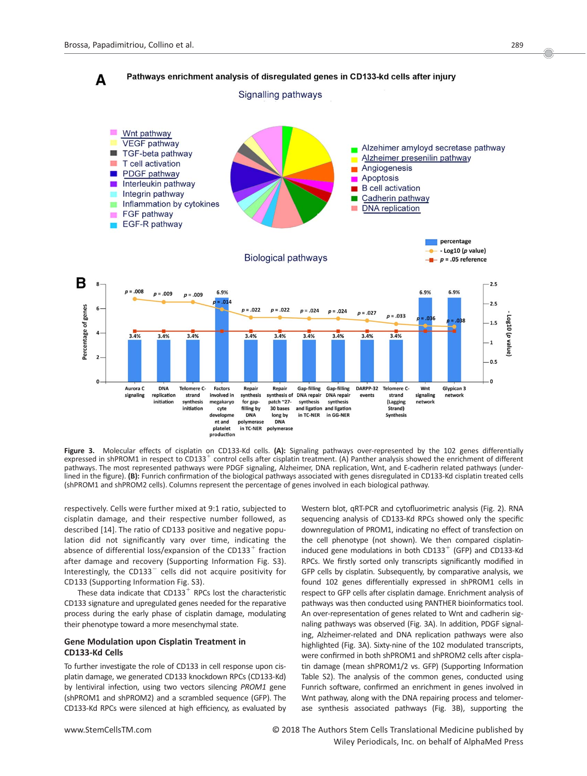

Figure 3. Molecular effects of cisplatin on CD133-Kd cells. (A): Signaling pathways over-represented by the 102 genes differentially expressed in shPROM1 in respect to CD133<sup>+</sup> control cells after cisplatin treatment. (A) Panther analysis showed the enrichment of different pathways. The most represented pathways were PDGF signaling, Alzheimer, DNA replication, Wnt, and E-cadherin related pathways (underlined in the figure). (B): Funrich confirmation of the biological pathways associated with genes disregulated in CD133-Kd cisplatin treated cells (shPROM1 and shPROM2 cells). Columns represent the percentage of genes involved in each biological pathway.

respectively. Cells were further mixed at 9:1 ratio, subjected to cisplatin damage, and their respective number followed, as described [14]. The ratio of CD133 positive and negative population did not significantly vary over time, indicating the absence of differential loss/expansion of the CD133<sup>+</sup> fraction after damage and recovery (Supporting Information Fig. S3). Interestingly, the CD133 $^-$  cells did not acquire positivity for CD133 (Supporting Information Fig. S3).

These data indicate that  $CD133<sup>+</sup>$  RPCs lost the characteristic CD133 signature and upregulated genes needed for the reparative process during the early phase of cisplatin damage, modulating their phenotype toward a more mesenchymal state.

# Gene Modulation upon Cisplatin Treatment in CD133-Kd Cells

To further investigate the role of CD133 in cell response upon cisplatin damage, we generated CD133 knockdown RPCs (CD133-Kd) by lentiviral infection, using two vectors silencing PROM1 gene (shPROM1 and shPROM2) and a scrambled sequence (GFP). The CD133-Kd RPCs were silenced at high efficiency, as evaluated by Western blot, qRT-PCR and cytofluorimetric analysis (Fig. 2). RNA sequencing analysis of CD133-Kd RPCs showed only the specific downregulation of PROM1, indicating no effect of transfection on the cell phenotype (not shown). We then compared cisplatininduced gene modulations in both  $CD133<sup>+</sup>$  (GFP) and CD133-Kd RPCs. We firstly sorted only transcripts significantly modified in GFP cells by cisplatin. Subsequently, by comparative analysis, we found 102 genes differentially expressed in shPROM1 cells in respect to GFP cells after cisplatin damage. Enrichment analysis of pathways was then conducted using PANTHER bioinformatics tool. An over-representation of genes related to Wnt and cadherin signaling pathways was observed (Fig. 3A). In addition, PDGF signaling, Alzheimer-related and DNA replication pathways were also highlighted (Fig. 3A). Sixty-nine of the 102 modulated transcripts, were confirmed in both shPROM1 and shPROM2 cells after cisplatin damage (mean shPROM1/2 vs. GFP) (Supporting Information Table S2). The analysis of the common genes, conducted using Funrich software, confirmed an enrichment in genes involved in Wnt pathway, along with the DNA repairing process and telomerase synthesis associated pathways (Fig. 3B), supporting the

www.StemCellsTM.com **COLOGITY COLOGITS** OC 2018 The Authors Stem Cells Translational Medicine published by Wiley Periodicals, Inc. on behalf of AlphaMed Press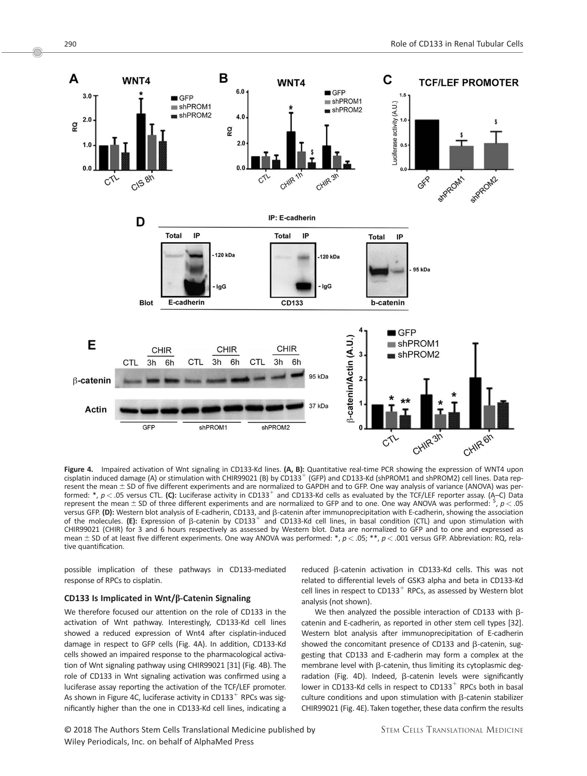

Figure 4. Impaired activation of Wnt signaling in CD133-Kd lines. (A, B): Quantitative real-time PCR showing the expression of WNT4 upon cisplatin induced damage (A) or stimulation with CHIR99021 (B) by CD133<sup>+</sup> (GFP) and CD133-Kd (shPROM1 and shPROM2) cell lines. Data represent the mean  $\pm$  SD of five different experiments and are normalized to GAPDH and to GFP. One way analysis of variance (ANOVA) was performed: \*,  $p < .05$  versus CTL. (C): Luciferase activity in CD133<sup>+</sup> and CD133-Kd cells as evaluated by the TCF/LEF reporter assay. (A–C) Data represent the mean  $\pm$  SD of three different experiments and are normalized to GFP and to one. One way ANOVA was performed:  $\frac{s}{r}$ ,  $p$  < .05 versus GFP. (D): Western blot analysis of E-cadherin, CD133, and  $\beta$ -catenin after immunoprecipitation with E-cadherin, showing the association of the molecules. (E): Expression of  $\beta$ -catenin by CD133<sup>+</sup> and CD133-Kd cell lines, in basal condition (CTL) and upon stimulation with CHIR99021 (CHIR) for 3 and 6 hours respectively as assessed by Western blot. Data are normalized to GFP and to one and expressed as mean  $\pm$  SD of at least five different experiments. One way ANOVA was performed: \*,  $p$  < .05; \*\*,  $p$  < .001 versus GFP. Abbreviation: RQ, relative quantification.

possible implication of these pathways in CD133-mediated response of RPCs to cisplatin.

## CD133 Is Implicated in Wnt/ $\beta$ -Catenin Signaling

We therefore focused our attention on the role of CD133 in the activation of Wnt pathway. Interestingly, CD133-Kd cell lines showed a reduced expression of Wnt4 after cisplatin-induced damage in respect to GFP cells (Fig. 4A). In addition, CD133-Kd cells showed an impaired response to the pharmacological activation of Wnt signaling pathway using CHIR99021 [31] (Fig. 4B). The role of CD133 in Wnt signaling activation was confirmed using a luciferase assay reporting the activation of the TCF/LEF promoter. As shown in Figure 4C, luciferase activity in CD133 $^+$  RPCs was significantly higher than the one in CD133-Kd cell lines, indicating a

© 2018 The Authors Stem Cells Translational Medicine published by Wiley Periodicals, Inc. on behalf of AlphaMed Press

reduced  $\beta$ -catenin activation in CD133-Kd cells. This was not related to differential levels of GSK3 alpha and beta in CD133-Kd cell lines in respect to CD133<sup>+</sup> RPCs, as assessed by Western blot analysis (not shown).

We then analyzed the possible interaction of CD133 with  $\beta$ catenin and E-cadherin, as reported in other stem cell types [32]. Western blot analysis after immunoprecipitation of E-cadherin showed the concomitant presence of CD133 and  $\beta$ -catenin, suggesting that CD133 and E-cadherin may form a complex at the membrane level with  $\beta$ -catenin, thus limiting its cytoplasmic degradation (Fig. 4D). Indeed,  $\beta$ -catenin levels were significantly lower in CD133-Kd cells in respect to  $CD133<sup>+</sup>$  RPCs both in basal culture conditions and upon stimulation with  $\beta$ -catenin stabilizer CHIR99021 (Fig. 4E). Taken together, these data confirm the results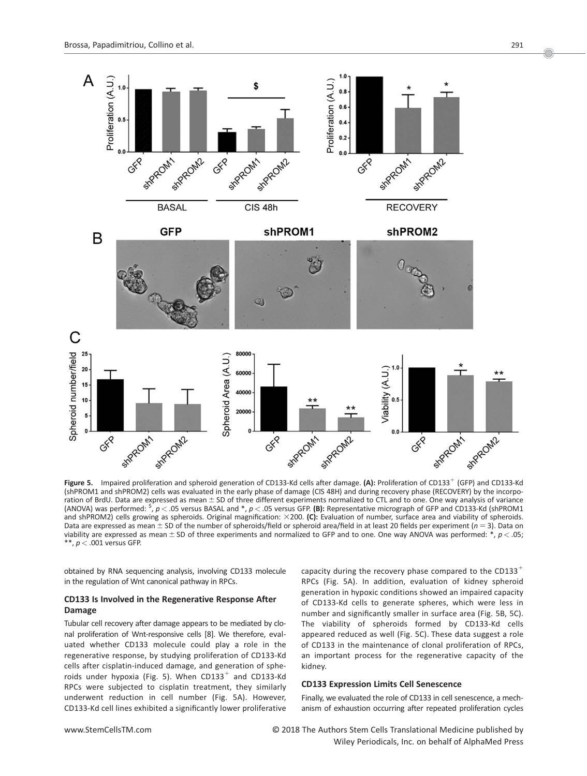

Figure 5. Impaired proliferation and spheroid generation of CD133-Kd cells after damage. (A): Proliferation of CD133<sup>+</sup> (GFP) and CD133-Kd (shPROM1 and shPROM2) cells was evaluated in the early phase of damage (CIS 48H) and during recovery phase (RECOVERY) by the incorporation of BrdU. Data are expressed as mean  $\pm$  SD of three different experiments normalized to CTL and to one. One way analysis of variance (ANOVA) was performed:  $\frac{5}{3}$ ,  $p <$  .05 versus BASAL and  $*$ ,  $p <$  .05 versus GFP. (B): Representative micrograph of GFP and CD133-Kd (shPROM1 and shPROM2) cells growing as spheroids. Original magnification:  $\times$ 200. (C): Evaluation of number, surface area and viability of spheroids. Data are expressed as mean  $\pm$  SD of the number of spheroids/field or spheroid area/field in at least 20 fields per experiment (n = 3). Data on viability are expressed as mean  $\pm$  SD of three experiments and normalized to GFP and to one. One way ANOVA was performed: \*,  $p$  < .05; \*\*,  $p < .001$  versus GFP.

obtained by RNA sequencing analysis, involving CD133 molecule in the regulation of Wnt canonical pathway in RPCs.

# CD133 Is Involved in the Regenerative Response After Damage

Tubular cell recovery after damage appears to be mediated by clonal proliferation of Wnt-responsive cells [8]. We therefore, evaluated whether CD133 molecule could play a role in the regenerative response, by studying proliferation of CD133-Kd cells after cisplatin-induced damage, and generation of spheroids under hypoxia (Fig. 5). When  $CD133^+$  and CD133-Kd RPCs were subjected to cisplatin treatment, they similarly underwent reduction in cell number (Fig. 5A). However, CD133-Kd cell lines exhibited a significantly lower proliferative

capacity during the recovery phase compared to the CD133<sup>+</sup> RPCs (Fig. 5A). In addition, evaluation of kidney spheroid generation in hypoxic conditions showed an impaired capacity of CD133-Kd cells to generate spheres, which were less in number and significantly smaller in surface area (Fig. 5B, 5C). The viability of spheroids formed by CD133-Kd cells appeared reduced as well (Fig. 5C). These data suggest a role of CD133 in the maintenance of clonal proliferation of RPCs, an important process for the regenerative capacity of the kidney.

# CD133 Expression Limits Cell Senescence

Finally, we evaluated the role of CD133 in cell senescence, a mechanism of exhaustion occurring after repeated proliferation cycles

www.StemCellsTM.com **COLLS** The Authors Stem Cells Translational Medicine published by Wiley Periodicals, Inc. on behalf of AlphaMed Press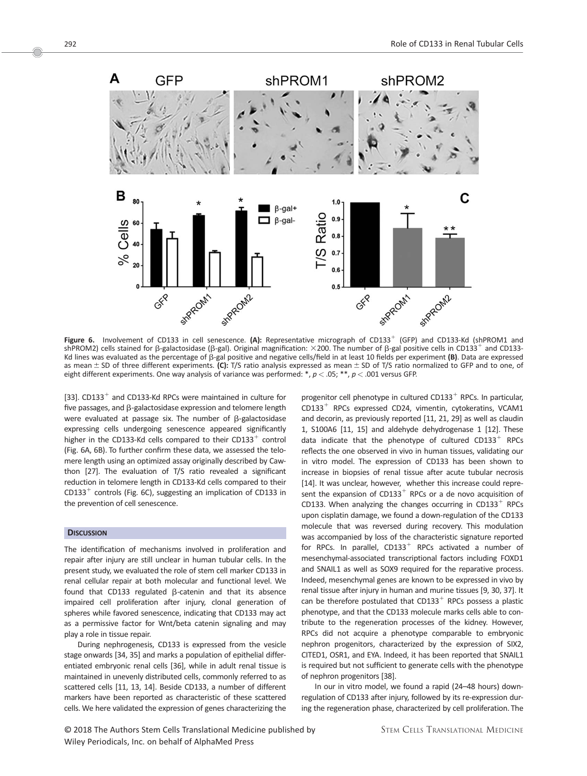

Figure 6. Involvement of CD133 in cell senescence. (A): Representative micrograph of CD133<sup>+</sup> (GFP) and CD133-Kd (shPROM1 and shPROM2) cells stained for β-galactosidase (β-gal). Original magnification:  $\times$ 200. The number of β-gal positive cells in CD133 $^+$  and CD133-Kd lines was evaluated as the percentage of  $\beta$ -gal positive and negative cells/field in at least 10 fields per experiment (B). Data are expressed as mean  $\pm$  SD of three different experiments. (C): T/S ratio analysis expressed as mean  $\pm$  SD of T/S ratio normalized to GFP and to one, of eight different experiments. One way analysis of variance was performed:  $*, p < .05; **, p < .001$  versus GFP.

[33].  $CD133<sup>+</sup>$  and CD133-Kd RPCs were maintained in culture for five passages, and  $\beta$ -galactosidase expression and telomere length were evaluated at passage six. The number of  $\beta$ -galactosidase expressing cells undergoing senescence appeared significantly higher in the CD133-Kd cells compared to their CD133<sup>+</sup> control (Fig. 6A, 6B). To further confirm these data, we assessed the telomere length using an optimized assay originally described by Cawthon [27]. The evaluation of T/S ratio revealed a significant reduction in telomere length in CD133-Kd cells compared to their  $CD133<sup>+</sup>$  controls (Fig. 6C), suggesting an implication of CD133 in the prevention of cell senescence.

# **DISCUSSION**

The identification of mechanisms involved in proliferation and repair after injury are still unclear in human tubular cells. In the present study, we evaluated the role of stem cell marker CD133 in renal cellular repair at both molecular and functional level. We found that CD133 regulated  $\beta$ -catenin and that its absence impaired cell proliferation after injury, clonal generation of spheres while favored senescence, indicating that CD133 may act as a permissive factor for Wnt/beta catenin signaling and may play a role in tissue repair.

During nephrogenesis, CD133 is expressed from the vesicle stage onwards [34, 35] and marks a population of epithelial differentiated embryonic renal cells [36], while in adult renal tissue is maintained in unevenly distributed cells, commonly referred to as scattered cells [11, 13, 14]. Beside CD133, a number of different markers have been reported as characteristic of these scattered cells. We here validated the expression of genes characterizing the progenitor cell phenotype in cultured  $CD133<sup>+</sup>$  RPCs. In particular,  $CD133<sup>+</sup>$  RPCs expressed CD24, vimentin, cytokeratins, VCAM1 and decorin, as previously reported [11, 21, 29] as well as claudin 1, S100A6 [11, 15] and aldehyde dehydrogenase 1 [12]. These data indicate that the phenotype of cultured  $CD133<sup>+</sup>$  RPCs reflects the one observed in vivo in human tissues, validating our in vitro model. The expression of CD133 has been shown to increase in biopsies of renal tissue after acute tubular necrosis [14]. It was unclear, however, whether this increase could represent the expansion of CD133<sup>+</sup> RPCs or a de novo acquisition of CD133. When analyzing the changes occurring in  $CD133<sup>+</sup>$  RPCs upon cisplatin damage, we found a down-regulation of the CD133 molecule that was reversed during recovery. This modulation was accompanied by loss of the characteristic signature reported for RPCs. In parallel,  $CD133<sup>+</sup>$  RPCs activated a number of mesenchymal-associated transcriptional factors including FOXD1 and SNAIL1 as well as SOX9 required for the reparative process. Indeed, mesenchymal genes are known to be expressed in vivo by renal tissue after injury in human and murine tissues [9, 30, 37]. It can be therefore postulated that  $CD133<sup>+</sup>$  RPCs possess a plastic phenotype, and that the CD133 molecule marks cells able to contribute to the regeneration processes of the kidney. However, RPCs did not acquire a phenotype comparable to embryonic nephron progenitors, characterized by the expression of SIX2, CITED1, OSR1, and EYA. Indeed, it has been reported that SNAIL1 is required but not sufficient to generate cells with the phenotype of nephron progenitors [38].

In our in vitro model, we found a rapid (24–48 hours) downregulation of CD133 after injury, followed by its re-expression during the regeneration phase, characterized by cell proliferation. The

Oc 2018 The Authors Stem Cells Translational Medicine published by Wiley Periodicals, Inc. on behalf of AlphaMed Press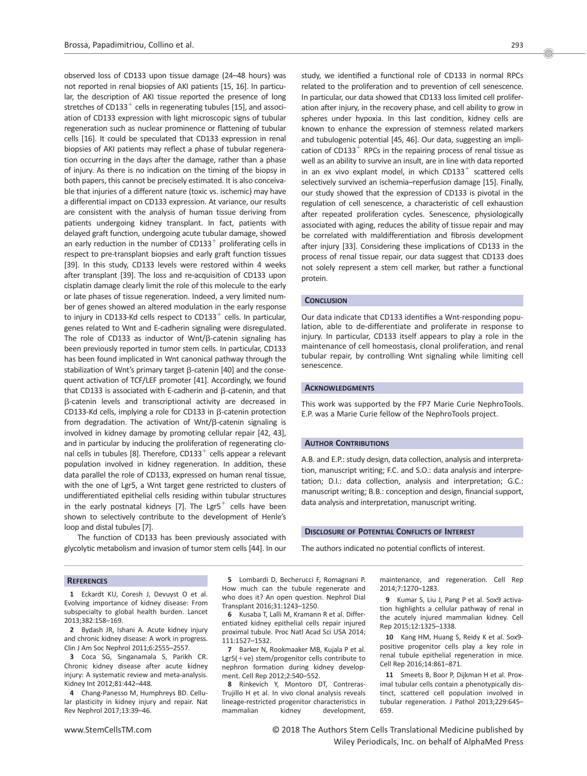observed loss of CD133 upon tissue damage (24–48 hours) was not reported in renal biopsies of AKI patients [15, 16]. In particular, the description of AKI tissue reported the presence of long stretches of CD133<sup>+</sup> cells in regenerating tubules [15], and association of CD133 expression with light microscopic signs of tubular regeneration such as nuclear prominence or flattening of tubular cells [16]. It could be speculated that CD133 expression in renal biopsies of AKI patients may reflect a phase of tubular regeneration occurring in the days after the damage, rather than a phase of injury. As there is no indication on the timing of the biopsy in both papers, this cannot be precisely estimated. It is also conceivable that injuries of a different nature (toxic vs. ischemic) may have a differential impact on CD133 expression. At variance, our results are consistent with the analysis of human tissue deriving from patients undergoing kidney transplant. In fact, patients with delayed graft function, undergoing acute tubular damage, showed an early reduction in the number of  $CD133<sup>+</sup>$  proliferating cells in respect to pre-transplant biopsies and early graft function tissues [39]. In this study, CD133 levels were restored within 4 weeks after transplant [39]. The loss and re-acquisition of CD133 upon cisplatin damage clearly limit the role of this molecule to the early or late phases of tissue regeneration. Indeed, a very limited number of genes showed an altered modulation in the early response to injury in CD133-Kd cells respect to CD133 $^+$  cells. In particular, genes related to Wnt and E-cadherin signaling were disregulated. The role of CD133 as inductor of Wnt/ $\beta$ -catenin signaling has been previously reported in tumor stem cells. In particular, CD133 has been found implicated in Wnt canonical pathway through the stabilization of Wnt's primary target  $\beta$ -catenin [40] and the consequent activation of TCF/LEF promoter [41]. Accordingly, we found that CD133 is associated with E-cadherin and  $\beta$ -catenin, and that b-catenin levels and transcriptional activity are decreased in CD133-Kd cells, implying a role for CD133 in  $\beta$ -catenin protection from degradation. The activation of Wnt/ $\beta$ -catenin signaling is involved in kidney damage by promoting cellular repair [42, 43], and in particular by inducing the proliferation of regenerating clonal cells in tubules [8]. Therefore, CD133 $^+$  cells appear a relevant population involved in kidney regeneration. In addition, these data parallel the role of CD133, expressed on human renal tissue, with the one of Lgr5, a Wnt target gene restricted to clusters of undifferentiated epithelial cells residing within tubular structures in the early postnatal kidneys [7]. The Lgr5<sup>+</sup> cells have been shown to selectively contribute to the development of Henle's loop and distal tubules [7].

The function of CD133 has been previously associated with glycolytic metabolism and invasion of tumor stem cells [44]. In our study, we identified a functional role of CD133 in normal RPCs related to the proliferation and to prevention of cell senescence. In particular, our data showed that CD133 loss limited cell proliferation after injury, in the recovery phase, and cell ability to grow in spheres under hypoxia. In this last condition, kidney cells are known to enhance the expression of stemness related markers and tubulogenic potential [45, 46]. Our data, suggesting an implication of CD133<sup>+</sup> RPCs in the repairing process of renal tissue as well as an ability to survive an insult, are in line with data reported in an ex vivo explant model, in which  $CD133^+$  scattered cells selectively survived an ischemia–reperfusion damage [15]. Finally, our study showed that the expression of CD133 is pivotal in the regulation of cell senescence, a characteristic of cell exhaustion after repeated proliferation cycles. Senescence, physiologically associated with aging, reduces the ability of tissue repair and may be correlated with maldifferentiation and fibrosis development after injury [33]. Considering these implications of CD133 in the process of renal tissue repair, our data suggest that CD133 does not solely represent a stem cell marker, but rather a functional protein.

#### **CONCLUSION**

Our data indicate that CD133 identifies a Wnt-responding population, able to de-differentiate and proliferate in response to injury. In particular, CD133 itself appears to play a role in the maintenance of cell homeostasis, clonal proliferation, and renal tubular repair, by controlling Wnt signaling while limiting cell senescence.

# ACKNOWLEDGMENTS

This work was supported by the FP7 Marie Curie NephroTools. E.P. was a Marie Curie fellow of the NephroTools project.

#### AUTHOR CONTRIBUTIONS

A.B. and E.P.: study design, data collection, analysis and interpretation, manuscript writing; F.C. and S.O.: data analysis and interpretation; D.I.: data collection, analysis and interpretation; G.C.: manuscript writing; B.B.: conception and design, financial support, data analysis and interpretation, manuscript writing.

#### **DISCLOSURE OF POTENTIAL CONFLICTS OF INTEREST**

The authors indicated no potential conflicts of interest.

#### **REFERENCES**

1 Eckardt KU, Coresh J, Devuyst O et al. Evolving importance of kidney disease: From subspecialty to global health burden. Lancet 2013;382:158–169.

2 Bydash JR, Ishani A. Acute kidney injury and chronic kidney disease: A work in progress. Clin J Am Soc Nephrol 2011;6:2555–2557.

3 Coca SG, Singanamala S, Parikh CR. Chronic kidney disease after acute kidney injury: A systematic review and meta-analysis. Kidney Int 2012;81:442–448.

4 Chang-Panesso M, Humphreys BD. Cellular plasticity in kidney injury and repair. Nat Rev Nephrol 2017;13:39–46.

5 Lombardi D, Becherucci F, Romagnani P. How much can the tubule regenerate and who does it? An open question. Nephrol Dial Transplant 2016;31:1243–1250.

6 Kusaba T, Lalli M, Kramann R et al. Differentiated kidney epithelial cells repair injured proximal tubule. Proc Natl Acad Sci USA 2014; 111:1527–1532.

7 Barker N, Rookmaaker MB, Kujala P et al. Lgr5(+ve) stem/progenitor cells contribute to nephron formation during kidney development. Cell Rep 2012;2:540–552.

8 Rinkevich Y, Montoro DT, Contreras-Trujillo H et al. In vivo clonal analysis reveals lineage-restricted progenitor characteristics in mammalian kidney development, maintenance, and regeneration. Cell Rep 2014;7:1270–1283.

9 Kumar S, Liu J, Pang P et al. Sox9 activation highlights a cellular pathway of renal in the acutely injured mammalian kidney. Cell Rep 2015;12:1325–1338.

10 Kang HM, Huang S, Reidy K et al. Sox9 positive progenitor cells play a key role in renal tubule epithelial regeneration in mice. Cell Rep 2016;14:861–871.

11 Smeets B, Boor P, Dijkman H et al. Proximal tubular cells contain a phenotypically distinct, scattered cell population involved in tubular regeneration. J Pathol 2013;229:645– 659.

www.StemCellsTM.com **O** 2018 The Authors Stem Cells Translational Medicine published by Wiley Periodicals, Inc. on behalf of AlphaMed Press